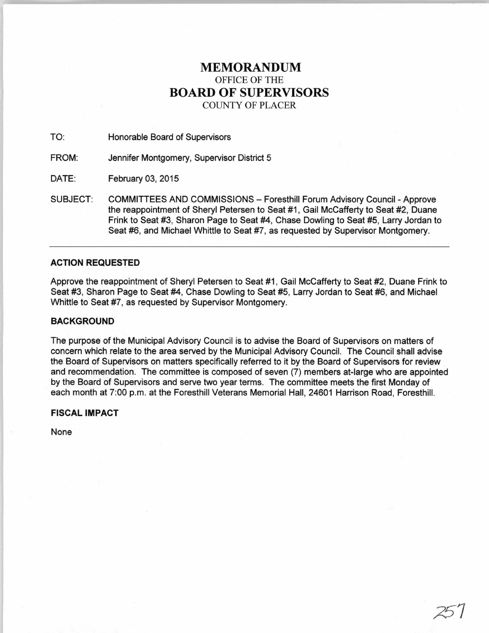# **MEMORANDUM**  OFFICE OF THE **BOARD OF SUPERVISORS**  COUNTY OF PLACER

TO: Honorable Board of Supervisors

FROM: Jennifer Montgomery, Supervisor District 5

DATE: February 03, 2015

SUBJECT: COMMITTEES AND COMMISSIONS - Foresthill Forum Advisory Council - Approve the reappointment of Sheryl Petersen to Seat #1, Gail McCafferty to Seat #2, Duane Frink to Seat #3, Sharon Page to Seat #4, Chase Dowling to Seat #5, Larry Jordan to Seat #6, and Michael Whittle to Seat #7, as requested by Supervisor Montgomery.

# **ACTION REQUESTED**

Approve the reappointment of Sheryl Petersen to Seat #1, Gail McCafferty to Seat #2, Duane Frink to Seat #3, Sharon Page to Seat #4, Chase Dowling to Seat #5, Larry Jordan to Seat #6, and Michael Whittle to Seat #7, as requested by Supervisor Montgomery.

## **BACKGROUND**

The purpose of the Municipal Advisory Council is to advise the Board of Supervisors on matters of concern which relate to the area served by the Municipal Advisory Council. The Council shall advise the Board of Supervisors on matters specifically referred to it by the Board of Supervisors for review and recommendation. The committee is composed of seven (7) members at-large who are appointed by the Board of Supervisors and serve two year terms. The committee meets the first Monday of each month at 7:00 p.m. at the Foresthill Veterans Memorial Hall, 24601 Harrison Road, Foresthill.

## **FISCAL IMPACT**

None